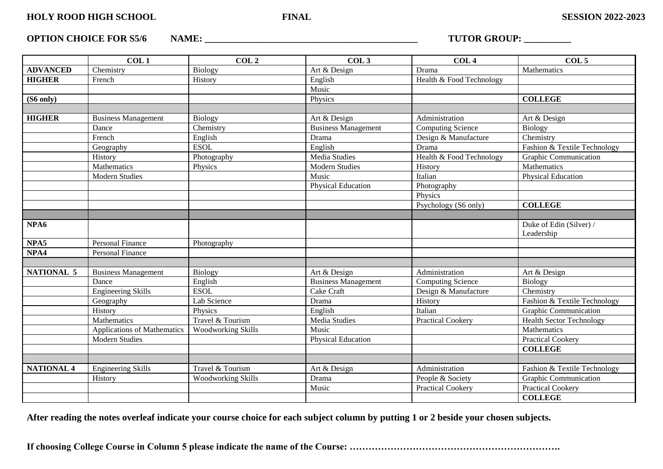**OPTION CHOICE FOR S5/6 NAME: \_\_\_\_\_\_\_\_\_\_\_\_\_\_\_\_\_\_\_\_\_\_\_\_\_\_\_\_\_\_\_\_\_\_\_\_\_\_\_\_\_\_\_\_\_ TUTOR GROUP: \_\_\_\_\_\_\_\_\_\_**

|                     | COL <sub>1</sub>            | COL <sub>2</sub>          | COL <sub>3</sub>           | COL <sub>4</sub>         | COL <sub>5</sub>                |
|---------------------|-----------------------------|---------------------------|----------------------------|--------------------------|---------------------------------|
| <b>ADVANCED</b>     | Chemistry                   | <b>Biology</b>            | Art & Design               | Drama                    | Mathematics                     |
| <b>HIGHER</b>       | French                      | History                   | English                    | Health & Food Technology |                                 |
|                     |                             |                           | Music                      |                          |                                 |
| $(S6 \text{ only})$ |                             |                           | Physics                    |                          | <b>COLLEGE</b>                  |
|                     |                             |                           |                            |                          |                                 |
| <b>HIGHER</b>       | <b>Business Management</b>  | <b>Biology</b>            | Art & Design               | Administration           | Art & Design                    |
|                     | Dance                       | Chemistry                 | <b>Business Management</b> | Computing Science        | <b>Biology</b>                  |
|                     | French                      | English                   | Drama                      | Design & Manufacture     | Chemistry                       |
|                     | Geography                   | <b>ESOL</b>               | English                    | Drama                    | Fashion & Textile Technology    |
|                     | History                     | Photography               | Media Studies              | Health & Food Technology | <b>Graphic Communication</b>    |
|                     | Mathematics                 | Physics                   | <b>Modern Studies</b>      | History                  | Mathematics                     |
|                     | <b>Modern Studies</b>       |                           | Music                      | Italian                  | <b>Physical Education</b>       |
|                     |                             |                           | <b>Physical Education</b>  | Photography              |                                 |
|                     |                             |                           |                            | Physics                  |                                 |
|                     |                             |                           |                            | Psychology (S6 only)     | <b>COLLEGE</b>                  |
|                     |                             |                           |                            |                          |                                 |
| NPA6                |                             |                           |                            |                          | Duke of Edin (Silver) /         |
|                     |                             |                           |                            |                          | Leadership                      |
| NPA5                | <b>Personal Finance</b>     | Photography               |                            |                          |                                 |
| NPA4                | <b>Personal Finance</b>     |                           |                            |                          |                                 |
|                     |                             |                           |                            |                          |                                 |
| <b>NATIONAL 5</b>   | <b>Business Management</b>  | Biology                   | Art & Design               | Administration           | Art & Design                    |
|                     | Dance                       | English                   | <b>Business Management</b> | Computing Science        | <b>Biology</b>                  |
|                     | <b>Engineering Skills</b>   | <b>ESOL</b>               | Cake Craft                 | Design & Manufacture     | Chemistry                       |
|                     | Geography                   | Lab Science               | Drama                      | History                  | Fashion & Textile Technology    |
|                     | History                     | Physics                   | English                    | Italian                  | Graphic Communication           |
|                     | Mathematics                 | Travel & Tourism          | <b>Media Studies</b>       | <b>Practical Cookery</b> | <b>Health Sector Technology</b> |
|                     | Applications of Mathematics | <b>Woodworking Skills</b> | Music                      |                          | Mathematics                     |
|                     | <b>Modern Studies</b>       |                           | <b>Physical Education</b>  |                          | <b>Practical Cookery</b>        |
|                     |                             |                           |                            |                          | <b>COLLEGE</b>                  |
|                     |                             |                           |                            |                          |                                 |
| <b>NATIONAL 4</b>   | <b>Engineering Skills</b>   | Travel & Tourism          | Art & Design               | Administration           | Fashion & Textile Technology    |
|                     | History                     | <b>Woodworking Skills</b> | Drama                      | People & Society         | <b>Graphic Communication</b>    |
|                     |                             |                           | Music                      | <b>Practical Cookery</b> | <b>Practical Cookery</b>        |
|                     |                             |                           |                            |                          | <b>COLLEGE</b>                  |

**After reading the notes overleaf indicate your course choice for each subject column by putting 1 or 2 beside your chosen subjects.**

**If choosing College Course in Column 5 please indicate the name of the Course: ………………………………………………………….**